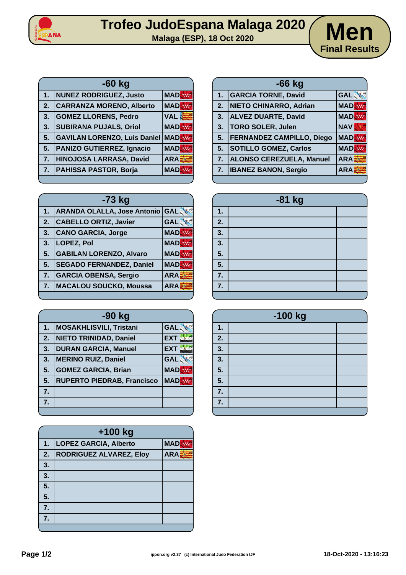

## **Trofeo JudoEspana Malaga 2020 Malaga (ESP), 18 Oct 2020 Men**



|    | $-60$ kg                            |            |
|----|-------------------------------------|------------|
| 1. | <b>NUNEZ RODRIGUEZ, Justo</b>       | <b>MAD</b> |
| 2. | <b>CARRANZA MORENO, Alberto</b>     | <b>MAD</b> |
| 3. | <b>GOMEZ LLORENS, Pedro</b>         | <b>VAL</b> |
| 3. | <b>SUBIRANA PUJALS, Oriol</b>       | <b>MAD</b> |
| 5. | <b>GAVILAN LORENZO, Luis Daniel</b> | <b>MAD</b> |
| 5. | <b>PANIZO GUTIERREZ, Ignacio</b>    | <b>MAD</b> |
| 7. | HINOJOSA LARRASA, David             | ARA        |
| 7. | <b>PAHISSA PASTOR, Borja</b>        | <b>MAD</b> |
|    |                                     |            |

| $-73$ kg |                                        |            |
|----------|----------------------------------------|------------|
| 1.       | <b>ARANDA OLALLA, Jose Antonio GAL</b> |            |
| 2.       | <b>CABELLO ORTIZ, Javier</b>           | <b>GAL</b> |
| 3.       | <b>CANO GARCIA, Jorge</b>              | <b>MAD</b> |
| 3.       | LOPEZ, Pol                             | <b>MAD</b> |
| 5.       | <b>GABILAN LORENZO, Alvaro</b>         | <b>MAD</b> |
| 5.       | <b>SEGADO FERNANDEZ, Daniel</b>        | <b>MAD</b> |
| 7.       | <b>GARCIA OBENSA, Sergio</b>           | ARA        |
| 7.       | <b>MACALOU SOUCKO, Moussa</b>          | <b>ARA</b> |
|          |                                        |            |

| $-90$ kg |                                   |            |
|----------|-----------------------------------|------------|
| 1.       | <b>MOSAKHLISVILI, Tristani</b>    | <b>GAL</b> |
| 2.       | <b>NIETO TRINIDAD, Daniel</b>     | <b>EXT</b> |
| 3.       | <b>DURAN GARCIA, Manuel</b>       | <b>EXT</b> |
| 3.       | <b>MERINO RUIZ, Daniel</b>        | <b>GAL</b> |
| 5.       | <b>GOMEZ GARCIA, Brian</b>        | <b>MAD</b> |
| 5.       | <b>RUPERTO PIEDRAB, Francisco</b> | <b>MAD</b> |
| 7.       |                                   |            |
| 7.       |                                   |            |
|          |                                   |            |

| $+100$ kg |                                |            |
|-----------|--------------------------------|------------|
| 1.        | <b>LOPEZ GARCIA, Alberto</b>   | <b>MAD</b> |
| 2.        | <b>RODRIGUEZ ALVAREZ, Eloy</b> | <b>ARA</b> |
| 3.        |                                |            |
| 3.        |                                |            |
| 5.        |                                |            |
| 5.        |                                |            |
| 7.        |                                |            |
| 7.        |                                |            |
|           |                                |            |

|                | $-66$ kg                         |                  |
|----------------|----------------------------------|------------------|
| 1.             | <b>GARCIA TORNE, David</b>       | <b>GAL</b>       |
| 2.             | NIETO CHINARRO, Adrian           | <b>MAD</b>       |
| 3.             | <b>ALVEZ DUARTE, David</b>       | <b>MAD</b>       |
| 3.             | TORO SOLER, Julen                | <b>NAV</b>       |
| 5 <sub>1</sub> | <b>FERNANDEZ CAMPILLO, Diego</b> | <b>MAD</b>       |
| 5.             | <b>SOTILLO GOMEZ, Carlos</b>     | <b>MAD</b>       |
| 7.             | ALONSO CEREZUELA, Manuel         | ARA <sup>3</sup> |
| 7.             | <b>IBANEZ BANON, Sergio</b>      | <b>ARA:</b>      |
|                |                                  |                  |

| -81 kg                    |  |  |
|---------------------------|--|--|
| 1.                        |  |  |
| 2.                        |  |  |
| $\overline{\mathbf{3}}$ . |  |  |
| $\frac{3}{5}$             |  |  |
|                           |  |  |
| 5.                        |  |  |
| $\overline{7}$ .          |  |  |
| 7.                        |  |  |
|                           |  |  |

| -100 kg                   |  |  |
|---------------------------|--|--|
| $\mathbf 1$               |  |  |
| 2.                        |  |  |
| 3.                        |  |  |
| 3                         |  |  |
| 5.                        |  |  |
| $\overline{\overline{5}}$ |  |  |
| 7.                        |  |  |
| 7.                        |  |  |
|                           |  |  |